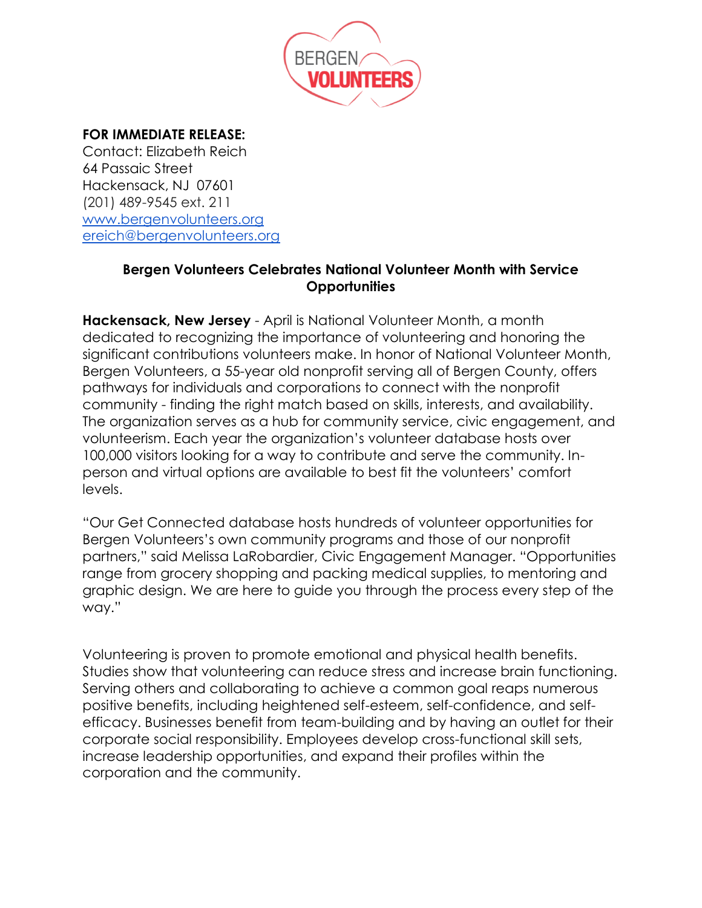

## **FOR IMMEDIATE RELEASE:**

Contact: Elizabeth Reich 64 Passaic Street Hackensack, NJ 07601 (201) 489-9545 ext. 211 [www.bergenvolunteers.org](http://www.bergenvolunteers.org/) [ereich@bergenvolunteers.org](mailto:ereich@bergenvolunteers.org)

## **Bergen Volunteers Celebrates National Volunteer Month with Service Opportunities**

**Hackensack, New Jersey** - April is National Volunteer Month, a month dedicated to recognizing the importance of volunteering and honoring the significant contributions volunteers make. In honor of National Volunteer Month, Bergen Volunteers, a 55-year old nonprofit serving all of Bergen County, offers pathways for individuals and corporations to connect with the nonprofit community - finding the right match based on skills, interests, and availability. The organization serves as a hub for community service, civic engagement, and volunteerism. Each year the organization's volunteer database hosts over 100,000 visitors looking for a way to contribute and serve the community. Inperson and virtual options are available to best fit the volunteers' comfort levels.

"Our Get Connected database hosts hundreds of volunteer opportunities for Bergen Volunteers's own community programs and those of our nonprofit partners," said Melissa LaRobardier, Civic Engagement Manager. "Opportunities range from grocery shopping and packing medical supplies, to mentoring and graphic design. We are here to guide you through the process every step of the way."

Volunteering is proven to promote emotional and physical health benefits. Studies show that volunteering can reduce stress and increase brain functioning. Serving others and collaborating to achieve a common goal reaps numerous positive benefits, including heightened self-esteem, self-confidence, and selfefficacy. Businesses benefit from team-building and by having an outlet for their corporate social responsibility. Employees develop cross-functional skill sets, increase leadership opportunities, and expand their profiles within the corporation and the community.